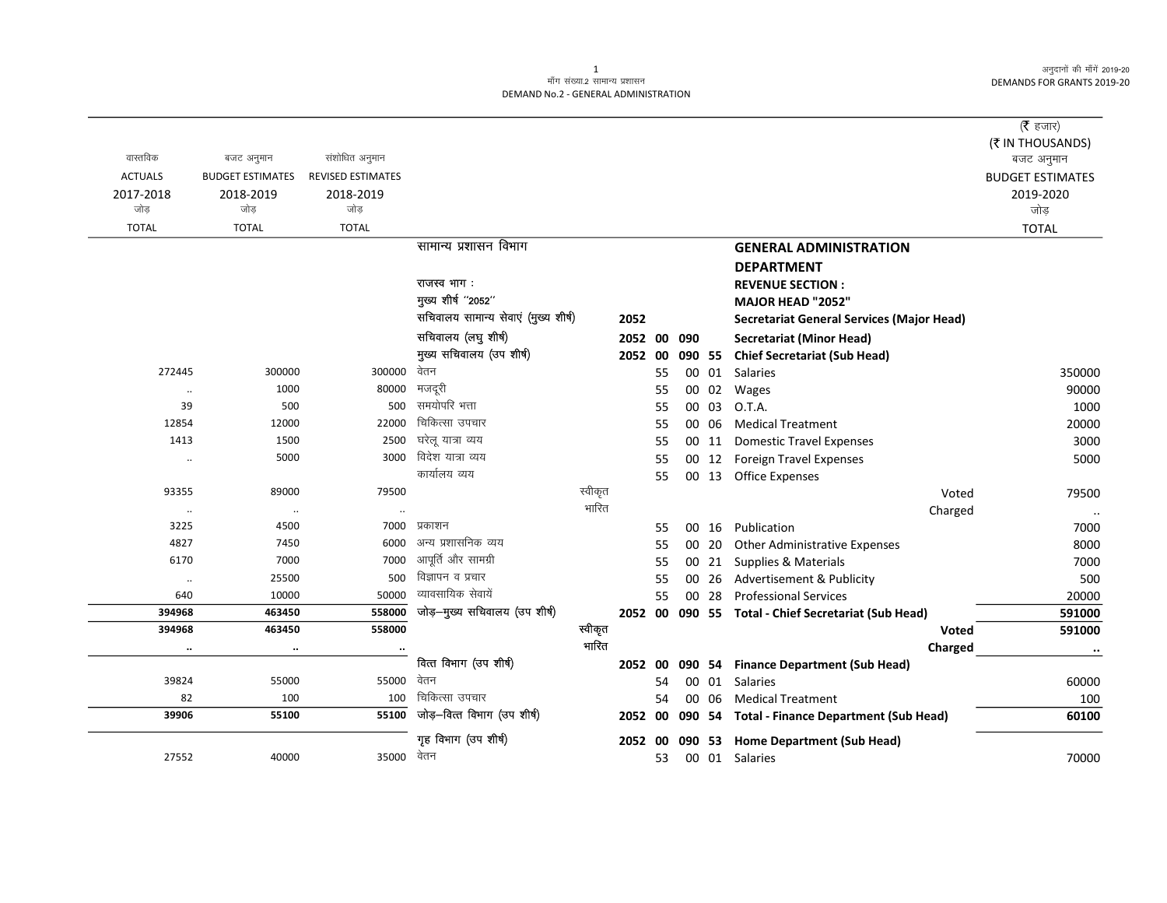# .<br>माँग संख्या.2 सामान्य प्रशासन DEMAND No.2 - GENERAL ADMINISTRATION

|                |                         |                          |                                      |             |    |        |       |                                                     | ( $\bar{\tau}$ हजार)           |
|----------------|-------------------------|--------------------------|--------------------------------------|-------------|----|--------|-------|-----------------------------------------------------|--------------------------------|
| वास्तविक       | बजट अनुमान              | संशोधित अनुमान           |                                      |             |    |        |       |                                                     | (₹ IN THOUSANDS)<br>बजट अनुमान |
| <b>ACTUALS</b> | <b>BUDGET ESTIMATES</b> | <b>REVISED ESTIMATES</b> |                                      |             |    |        |       |                                                     | <b>BUDGET ESTIMATES</b>        |
| 2017-2018      | 2018-2019               | 2018-2019                |                                      |             |    |        |       |                                                     | 2019-2020                      |
| जोड            | जोड                     | जोड                      |                                      |             |    |        |       |                                                     | जोड़                           |
| <b>TOTAL</b>   | <b>TOTAL</b>            | <b>TOTAL</b>             |                                      |             |    |        |       |                                                     | <b>TOTAL</b>                   |
|                |                         |                          | सामान्य प्रशासन विभाग                |             |    |        |       | <b>GENERAL ADMINISTRATION</b>                       |                                |
|                |                         |                          |                                      |             |    |        |       | <b>DEPARTMENT</b>                                   |                                |
|                |                         |                          | राजस्व भाग:                          |             |    |        |       | <b>REVENUE SECTION:</b>                             |                                |
|                |                         |                          | मुख्य शीर्ष "2052"                   |             |    |        |       | <b>MAJOR HEAD "2052"</b>                            |                                |
|                |                         |                          | सचिवालय सामान्य सेवाएं (मुख्य शीर्ष) | 2052        |    |        |       | <b>Secretariat General Services (Major Head)</b>    |                                |
|                |                         |                          | सचिवालय (लघु शीर्ष)                  | 2052 00 090 |    |        |       | Secretariat (Minor Head)                            |                                |
|                |                         |                          | मुख्य सचिवालय (उप शीर्ष)             | 2052 00     |    | 090 55 |       | <b>Chief Secretariat (Sub Head)</b>                 |                                |
| 272445         | 300000                  | 300000                   | वेतन                                 |             | 55 |        | 00 01 | <b>Salaries</b>                                     | 350000                         |
| $\ddotsc$      | 1000                    | 80000                    | मजदूरी                               |             | 55 |        | 00 02 | Wages                                               | 90000                          |
| 39             | 500                     | 500                      | समयोपरि भत्ता                        |             | 55 |        | 00 03 | O.T.A.                                              | 1000                           |
| 12854          | 12000                   | 22000                    | चिकित्सा उपचार                       |             | 55 |        | 00 06 | <b>Medical Treatment</b>                            | 20000                          |
| 1413           | 1500                    | 2500                     | घरेलू यात्रा व्यय                    |             | 55 |        | 00 11 | <b>Domestic Travel Expenses</b>                     | 3000                           |
| $\ldots$       | 5000                    | 3000                     | विदेश यात्रा व्यय                    |             | 55 |        | 00 12 | <b>Foreign Travel Expenses</b>                      | 5000                           |
|                |                         |                          | कार्यालय व्यय                        |             | 55 |        |       | 00 13 Office Expenses                               |                                |
| 93355          | 89000                   | 79500                    |                                      | स्वीकृत     |    |        |       | Voted                                               | 79500                          |
|                | $\cdot\cdot$            |                          |                                      | भारित       |    |        |       | Charged                                             | $\ddotsc$                      |
| 3225           | 4500                    | 7000                     | प्रकाशन                              |             | 55 |        | 00 16 | Publication                                         | 7000                           |
| 4827           | 7450                    | 6000                     | अन्य प्रशासनिक व्यय                  |             | 55 |        | 00 20 | <b>Other Administrative Expenses</b>                | 8000                           |
| 6170           | 7000                    | 7000                     | आपूर्ति और सामग्री                   |             | 55 |        | 00 21 | Supplies & Materials                                | 7000                           |
| $\ddotsc$      | 25500                   | 500                      | विज्ञापन व प्रचार                    |             | 55 |        | 00 26 | Advertisement & Publicity                           | 500                            |
| 640            | 10000                   | 50000                    | व्यावसायिक सेवायें                   |             | 55 |        | 00 28 | <b>Professional Services</b>                        | 20000                          |
| 394968         | 463450                  | 558000                   | जोड़-मुख्य सचिवालय (उप शीर्ष)        |             |    |        |       | 2052 00 090 55 Total - Chief Secretariat (Sub Head) | 591000                         |
| 394968         | 463450                  | 558000                   |                                      | स्वीकृत     |    |        |       | Voted                                               | 591000                         |
|                | $\ddot{\phantom{a}}$    |                          |                                      | भारित       |    |        |       | Charged                                             | $\cdots$                       |
|                |                         |                          | वित्त विभाग (उप शीर्ष)               |             |    |        |       | 2052 00 090 54 Finance Department (Sub Head)        |                                |
| 39824          | 55000                   | 55000                    | वेतन<br>चिकित्सा उपचार               |             | 54 |        |       | 00 01 Salaries                                      | 60000                          |
| 82             | 100                     | 100                      | जोड़-वित्त विभाग (उप शीर्ष)          |             | 54 |        |       | 00 06 Medical Treatment                             | 100                            |
| 39906          | 55100                   | 55100                    |                                      | 2052 00     |    |        |       | 090 54 Total - Finance Department (Sub Head)        | 60100                          |
|                |                         |                          | गृह विभाग (उप शीर्ष)                 | 2052 00     |    | 090    |       | 53 Home Department (Sub Head)                       |                                |
| 27552          | 40000                   | 35000                    | वेतन                                 |             | 53 |        |       | 00 01 Salaries                                      | 70000                          |

 $\mathbf{1}$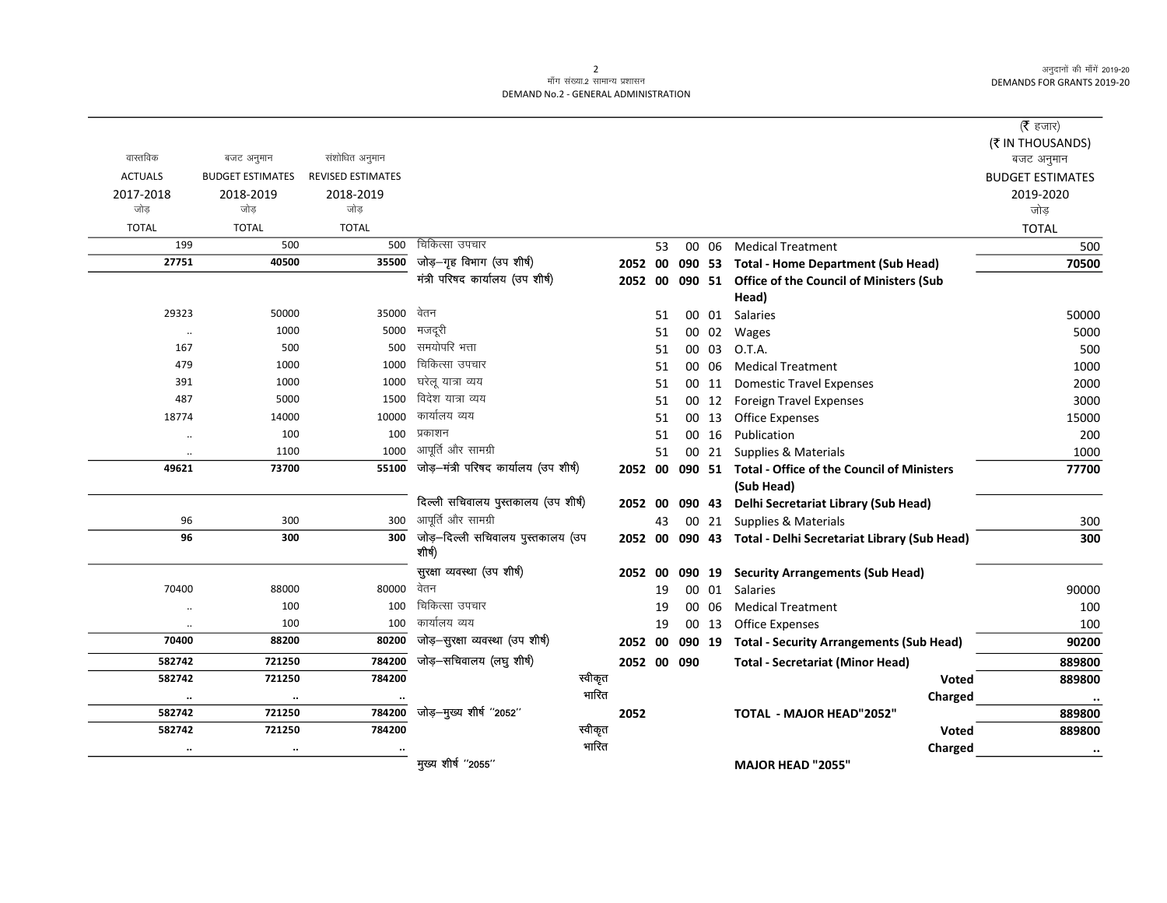$=$ 

## माँग संख्या.2 सामान्य प्रशासन DEMAND No.2 - GENERAL ADMINISTRATION

|                |                         |                          |                                             |       |         |             |       |                                                                 | (रे हजार)               |
|----------------|-------------------------|--------------------------|---------------------------------------------|-------|---------|-------------|-------|-----------------------------------------------------------------|-------------------------|
|                |                         |                          |                                             |       |         |             |       |                                                                 | (₹ IN THOUSANDS)        |
| वास्तविक       | बजट अनुमान              | संशोधित अनुमान           |                                             |       |         |             |       |                                                                 | बजट अनुमान              |
| <b>ACTUALS</b> | <b>BUDGET ESTIMATES</b> | <b>REVISED ESTIMATES</b> |                                             |       |         |             |       |                                                                 | <b>BUDGET ESTIMATES</b> |
| 2017-2018      | 2018-2019               | 2018-2019                |                                             |       |         |             |       |                                                                 | 2019-2020               |
| जोड़           | जोड                     | जोड                      |                                             |       |         |             |       |                                                                 | जोड़                    |
| <b>TOTAL</b>   | <b>TOTAL</b>            | <b>TOTAL</b>             |                                             |       |         |             |       |                                                                 | <b>TOTAL</b>            |
| 199            | 500                     | 500                      | चिकित्सा उपचार                              |       | 53      |             | 00 06 | <b>Medical Treatment</b>                                        | 500                     |
| 27751          | 40500                   | 35500                    | जोड़-गृह विभाग (उप शीर्ष)                   |       | 2052 00 |             |       | 090 53 Total - Home Department (Sub Head)                       | 70500                   |
|                |                         |                          | मंत्री परिषद कार्यालय (उप शीर्ष)            |       |         |             |       | 2052 00 090 51 Office of the Council of Ministers (Sub<br>Head) |                         |
| 29323          | 50000                   | 35000                    | वेतन                                        |       | 51      |             |       | 00 01 Salaries                                                  | 50000                   |
| $\cdot\cdot$   | 1000                    | 5000                     | मजदूरी                                      |       | 51      |             |       | 00 02 Wages                                                     | 5000                    |
| 167            | 500                     | 500                      | समयोपरि भत्ता                               |       | 51      |             | 00 03 | O.T.A.                                                          | 500                     |
| 479            | 1000                    | 1000                     | चिकित्सा उपचार                              |       | 51      |             | 00 06 | <b>Medical Treatment</b>                                        | 1000                    |
| 391            | 1000                    | 1000                     | घरेलू यात्रा व्यय                           |       | 51      |             |       | 00 11 Domestic Travel Expenses                                  | 2000                    |
| 487            | 5000                    | 1500                     | विदेश यात्रा व्यय                           |       | 51      |             |       | 00 12 Foreign Travel Expenses                                   | 3000                    |
| 18774          | 14000                   | 10000                    | कार्यालय व्यय                               |       | 51      |             |       | 00 13 Office Expenses                                           | 15000                   |
| $\ddotsc$      | 100                     | 100                      | प्रकाशन                                     |       | 51      |             | 00 16 | Publication                                                     | 200                     |
| $\cdot\cdot$   | 1100                    | 1000                     | आपूर्ति और सामग्री                          |       | 51      |             |       | 00 21 Supplies & Materials                                      | 1000                    |
| 49621          | 73700                   | 55100                    | जोड़-मंत्री परिषद कार्यालय (उप शीर्ष)       |       |         |             |       | 2052 00 090 51 Total - Office of the Council of Ministers       | 77700                   |
|                |                         |                          |                                             |       |         |             |       | (Sub Head)                                                      |                         |
|                |                         |                          | दिल्ली सचिवालय पुस्तकालय (उप शीर्ष)         |       | 2052 00 |             |       | 090 43 Delhi Secretariat Library (Sub Head)                     |                         |
| 96             | 300                     | 300                      | आपूर्ति और सामग्री                          |       | 43      |             |       | 00 21 Supplies & Materials                                      | 300                     |
| 96             | 300                     | 300                      | जोड़–दिल्ली सचिवालय पुस्तकालय (उप<br>शीर्ष) |       |         |             |       | 2052 00 090 43 Total - Delhi Secretariat Library (Sub Head)     | 300                     |
|                |                         |                          | सुरक्षा व्यवस्था (उप शीर्ष)                 |       | 2052 00 |             |       | 090 19 Security Arrangements (Sub Head)                         |                         |
| 70400          | 88000                   | 80000                    | वेतन                                        |       | 19      |             | 00 01 | Salaries                                                        | 90000                   |
| $\ddotsc$      | 100                     | 100                      | चिकित्सा उपचार                              |       | 19      |             | 00 06 | <b>Medical Treatment</b>                                        | 100                     |
| $\cdot\cdot$   | 100                     | 100                      | कार्यालय व्यय                               |       | 19      |             | 00 13 | <b>Office Expenses</b>                                          | 100                     |
| 70400          | 88200                   | 80200                    | जोड़-सुरक्षा व्यवस्था (उप शीर्ष)            |       | 2052 00 |             |       | 090 19 Total - Security Arrangements (Sub Head)                 | 90200                   |
| 582742         | 721250                  | 784200                   | जोड़-सचिवालय (लघु शीर्ष)                    |       |         | 2052 00 090 |       | <b>Total - Secretariat (Minor Head)</b>                         | 889800                  |
| 582742         | 721250                  | 784200                   | स्वीकृत                                     |       |         |             |       | Voted                                                           | 889800                  |
| $\ddotsc$      | $\ldots$                |                          |                                             | भारित |         |             |       | Charged                                                         | $\ddotsc$               |
| 582742         | 721250                  | 784200                   | जोड़—मुख्य शीर्ष "2052"                     | 2052  |         |             |       | <b>TOTAL - MAJOR HEAD"2052"</b>                                 | 889800                  |
| 582742         | 721250                  | 784200                   | स्वीकृत                                     |       |         |             |       | <b>Voted</b>                                                    | 889800                  |
|                | $\cdot\cdot$            |                          |                                             | भारित |         |             |       | Charged                                                         | $\cdot$                 |
|                |                         |                          | मुख्य शीर्ष "2055"                          |       |         |             |       | MAJOR HEAD "2055"                                               |                         |

 $\overline{2}$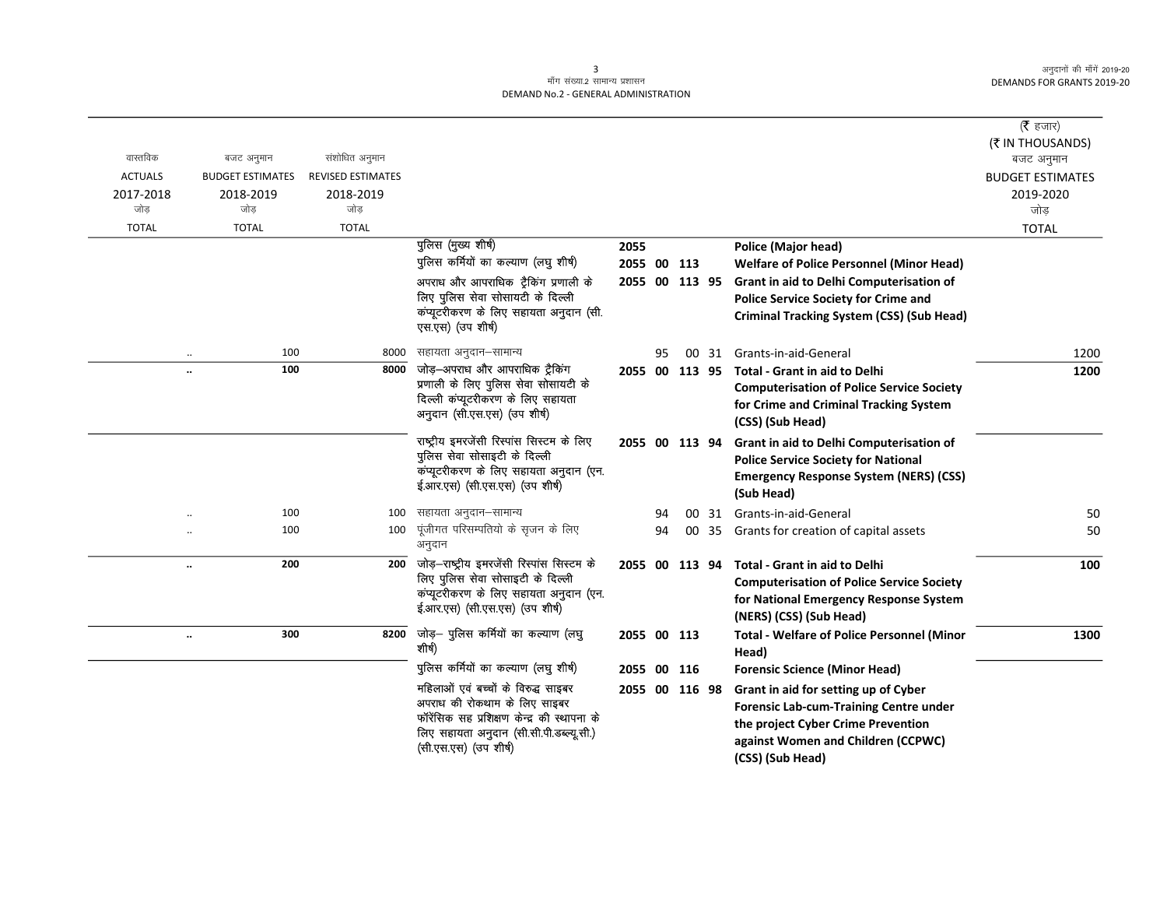# ्<br>माँग संख्या.2 सामान्य प्रशासन DEMAND No.2 - GENERAL ADMINISTRATION

| वास्तविक<br>बजट अनुमान                    | संशोधित अनुमान                                                           |                                                                                                                                                                                         |             |    |                                                                   |       |                                                                                                                                                                                       | (रै हजार)<br>(₹ IN THOUSANDS)<br>बजट अनुमान |
|-------------------------------------------|--------------------------------------------------------------------------|-----------------------------------------------------------------------------------------------------------------------------------------------------------------------------------------|-------------|----|-------------------------------------------------------------------|-------|---------------------------------------------------------------------------------------------------------------------------------------------------------------------------------------|---------------------------------------------|
| <b>ACTUALS</b><br><b>BUDGET ESTIMATES</b> | <b>REVISED ESTIMATES</b>                                                 |                                                                                                                                                                                         |             |    |                                                                   |       |                                                                                                                                                                                       | <b>BUDGET ESTIMATES</b>                     |
| 2017-2018<br>2018-2019<br>जोड<br>जोड      | 2018-2019<br>जोड़                                                        |                                                                                                                                                                                         |             |    |                                                                   |       |                                                                                                                                                                                       | 2019-2020<br>जोड                            |
| <b>TOTAL</b><br><b>TOTAL</b>              | <b>TOTAL</b>                                                             |                                                                                                                                                                                         |             |    |                                                                   |       |                                                                                                                                                                                       | <b>TOTAL</b>                                |
|                                           |                                                                          | पुलिस (मुख्य शीर्ष)                                                                                                                                                                     | 2055        |    |                                                                   |       | <b>Police (Major head)</b>                                                                                                                                                            |                                             |
|                                           |                                                                          | पुलिस कर्मियों का कल्याण (लघु शीर्ष)                                                                                                                                                    | 2055 00 113 |    |                                                                   |       | <b>Welfare of Police Personnel (Minor Head)</b>                                                                                                                                       |                                             |
|                                           |                                                                          | अपराध और आपराधिक ट्रैकिंग प्रणाली के                                                                                                                                                    |             |    | 2055 00 113 95                                                    |       | Grant in aid to Delhi Computerisation of                                                                                                                                              |                                             |
|                                           |                                                                          | लिए पुलिस सेवा सोसायटी के दिल्ली                                                                                                                                                        |             |    |                                                                   |       | <b>Police Service Society for Crime and</b>                                                                                                                                           |                                             |
|                                           |                                                                          | कंप्यूटरीकरण के लिए सहायता अनुदान (सी.<br>एस.एस) (उप शीर्ष)                                                                                                                             |             |    |                                                                   |       | <b>Criminal Tracking System (CSS) (Sub Head)</b>                                                                                                                                      |                                             |
| $\cdot\cdot$                              | 100<br>8000                                                              | सहायता अनुदान–सामान्य                                                                                                                                                                   |             | 95 |                                                                   |       | 00 31 Grants-in-aid-General                                                                                                                                                           | 1200                                        |
|                                           | 100<br>8000                                                              | जोड़—अपराध और आपराधिक ट्रैकिंग                                                                                                                                                          |             |    | 2055 00 113 95                                                    |       | <b>Total - Grant in aid to Delhi</b>                                                                                                                                                  | 1200                                        |
|                                           |                                                                          | प्रणाली के लिए पुलिस सेवा सोसायटी के<br>दिल्ली कंप्यूटरीकरण के लिए सहायता<br>अनुदान (सी.एस.एस) (उप शीर्ष)                                                                               |             |    |                                                                   |       | <b>Computerisation of Police Service Society</b><br>for Crime and Criminal Tracking System                                                                                            |                                             |
|                                           |                                                                          |                                                                                                                                                                                         |             |    |                                                                   |       | (CSS) (Sub Head)                                                                                                                                                                      |                                             |
|                                           |                                                                          | राष्ट्रीय इमरजेंसी रिस्पांस सिस्टम के लिए<br>पुलिस सेवा सोसाइटी के दिल्ली                                                                                                               |             |    | 2055 00 113 94                                                    |       | Grant in aid to Delhi Computerisation of<br><b>Police Service Society for National</b>                                                                                                |                                             |
|                                           |                                                                          | कंप्यूटरीकरण के लिए सहायता अनुदान (एन.<br>ई.आर.एस) (सी.एस.एस) (उप शीर्ष)                                                                                                                |             |    |                                                                   |       | <b>Emergency Response System (NERS) (CSS)</b><br>(Sub Head)                                                                                                                           |                                             |
|                                           | 100<br>100                                                               | सहायता अनुदान–सामान्य                                                                                                                                                                   |             | 94 |                                                                   | 00 31 | Grants-in-aid-General                                                                                                                                                                 | 50                                          |
|                                           | 100<br>100                                                               | पूंजीगत परिसम्पतियो के सृजन के लिए<br>अनुदान                                                                                                                                            |             | 94 | 00                                                                | 35    | Grants for creation of capital assets                                                                                                                                                 | 50                                          |
| $\ddotsc$                                 | 200                                                                      | 200 जोड़-राष्ट्रीय इमरजेंसी रिस्पांस सिस्टम के                                                                                                                                          |             |    | 2055 00 113 94                                                    |       | <b>Total - Grant in aid to Delhi</b>                                                                                                                                                  | 100                                         |
|                                           |                                                                          | लिए पुलिस सेवा सोसाइटी के दिल्ली                                                                                                                                                        |             |    |                                                                   |       | <b>Computerisation of Police Service Society</b>                                                                                                                                      |                                             |
|                                           | कंप्यूटरीकरण के लिए सहायता अनुदान (एन.<br>ई.आर.एस) (सी.एस.एस) (उप शीर्ष) |                                                                                                                                                                                         |             |    | for National Emergency Response System<br>(NERS) (CSS) (Sub Head) |       |                                                                                                                                                                                       |                                             |
| $\ddotsc$                                 | 300<br>8200                                                              | जोड़— पुलिस कर्मियों का कल्याण (लघु<br>शीर्ष)                                                                                                                                           | 2055 00 113 |    |                                                                   |       | <b>Total - Welfare of Police Personnel (Minor</b><br>Head)                                                                                                                            | 1300                                        |
|                                           |                                                                          | पुलिस कर्मियों का कल्याण (लघु शीर्ष)                                                                                                                                                    | 2055 00 116 |    |                                                                   |       | <b>Forensic Science (Minor Head)</b>                                                                                                                                                  |                                             |
|                                           |                                                                          | महिलाओं एवं बच्चों के विरुद्ध साइबर<br>अपराध की रोकथाम के लिए साइबर<br>फॉरेंसिक सह प्रशिक्षण केन्द्र की स्थापना के<br>लिए सहायता अनुदान (सी.सी.पी.डब्ल्यू.सी.)<br>(सी.एस.एस) (उप शीर्ष) |             |    | 2055 00 116 98                                                    |       | Grant in aid for setting up of Cyber<br><b>Forensic Lab-cum-Training Centre under</b><br>the project Cyber Crime Prevention<br>against Women and Children (CCPWC)<br>(CSS) (Sub Head) |                                             |

3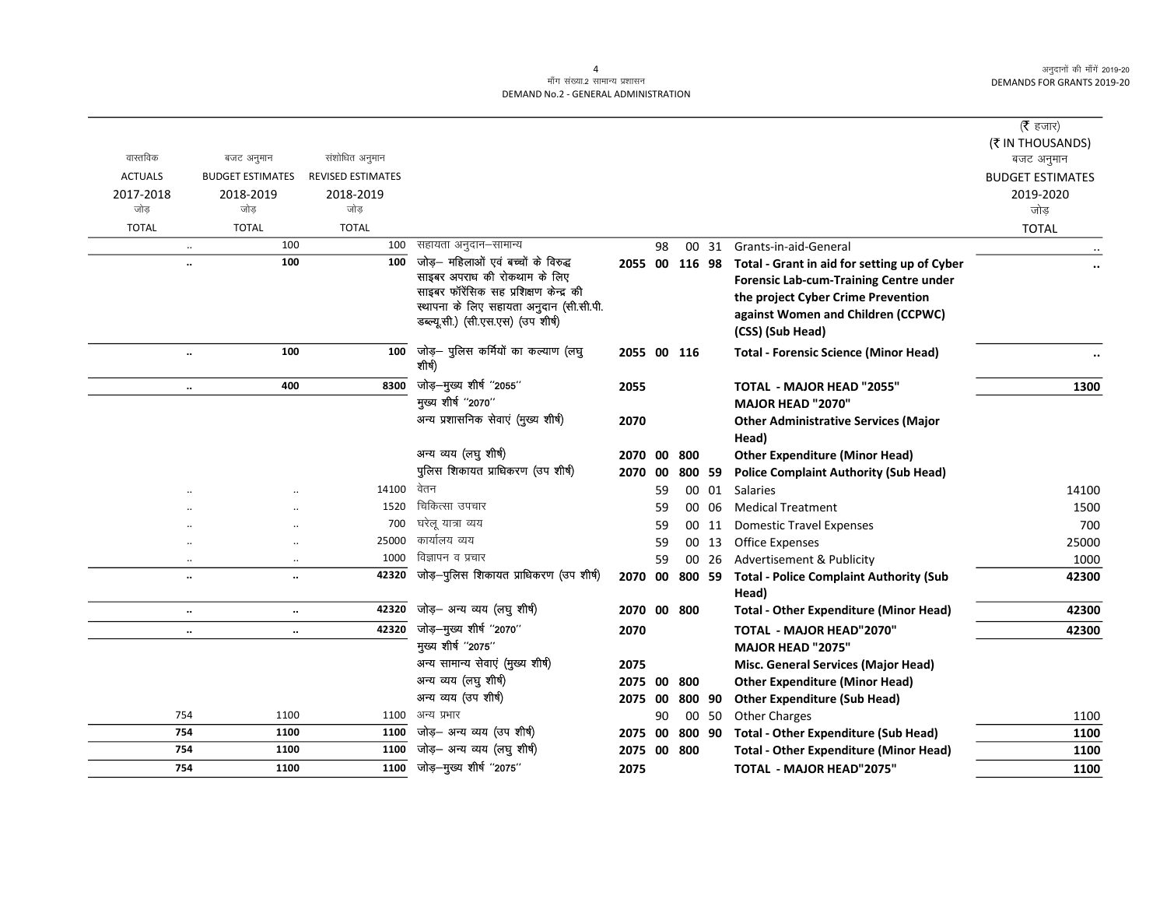## .<br>माँग संख्या.2 सामान्य प्रशासन DEMAND No.2 - GENERAL ADMINISTRATION

| वास्तविक         | बजट अनुमान                        | संशोधित अनुमान           |                                                                                                                                                                                                |         |    |             |       |                                                                                                                                                                                                              | ( $\bar{\tau}$ हजार)<br>(₹ IN THOUSANDS)<br>बजट अनुमान |
|------------------|-----------------------------------|--------------------------|------------------------------------------------------------------------------------------------------------------------------------------------------------------------------------------------|---------|----|-------------|-------|--------------------------------------------------------------------------------------------------------------------------------------------------------------------------------------------------------------|--------------------------------------------------------|
| <b>ACTUALS</b>   | <b>BUDGET ESTIMATES</b>           | <b>REVISED ESTIMATES</b> |                                                                                                                                                                                                |         |    |             |       |                                                                                                                                                                                                              | <b>BUDGET ESTIMATES</b>                                |
| 2017-2018<br>जोड | 2018-2019<br>जोड                  | 2018-2019<br>जोड़        |                                                                                                                                                                                                |         |    |             |       |                                                                                                                                                                                                              | 2019-2020<br>जोड़                                      |
| <b>TOTAL</b>     | <b>TOTAL</b>                      | <b>TOTAL</b>             |                                                                                                                                                                                                |         |    |             |       |                                                                                                                                                                                                              | <b>TOTAL</b>                                           |
|                  | 100<br>$\ldots$                   | 100                      | सहायता अनुदान–सामान्य                                                                                                                                                                          |         | 98 |             | 00 31 | Grants-in-aid-General                                                                                                                                                                                        |                                                        |
|                  | 100<br>$\ddot{\phantom{a}}$       | 100                      | जोड़– महिलाओं एवं बच्चों के विरुद्ध<br>साइबर अपराध की रोकथाम के लिए<br>साइबर फॉरेंसिक सह प्रशिक्षण केन्द्र की<br>स्थापना के लिए सहायता अनुदान (सी.सी.पी.<br>डब्ल्यू.सी.) (सी.एस.एस) (उप शीर्ष) |         |    |             |       | 2055 00 116 98 Total - Grant in aid for setting up of Cyber<br><b>Forensic Lab-cum-Training Centre under</b><br>the project Cyber Crime Prevention<br>against Women and Children (CCPWC)<br>(CSS) (Sub Head) |                                                        |
|                  | 100<br>$\ddotsc$                  | 100                      | जोड़— पुलिस कर्मियों का कल्याण (लघु<br>शीर्ष)                                                                                                                                                  |         |    | 2055 00 116 |       | <b>Total - Forensic Science (Minor Head)</b>                                                                                                                                                                 |                                                        |
|                  | 400<br>$\ddotsc$                  | 8300                     | जोड़-मुख्य शीर्ष "2055"<br>मुख्य शीर्ष "2070"                                                                                                                                                  | 2055    |    |             |       | TOTAL - MAJOR HEAD "2055"                                                                                                                                                                                    | 1300                                                   |
|                  |                                   |                          | अन्य प्रशासनिक सेवाएं (मुख्य शीर्ष)                                                                                                                                                            | 2070    |    |             |       | <b>MAJOR HEAD "2070"</b><br><b>Other Administrative Services (Major</b>                                                                                                                                      |                                                        |
|                  |                                   |                          |                                                                                                                                                                                                |         |    |             |       | Head)                                                                                                                                                                                                        |                                                        |
|                  |                                   |                          | अन्य व्यय (लघु शीर्ष)                                                                                                                                                                          | 2070 00 |    | 800         |       | <b>Other Expenditure (Minor Head)</b>                                                                                                                                                                        |                                                        |
|                  |                                   |                          | पुलिस शिकायत प्राधिकरण (उप शीर्ष)                                                                                                                                                              | 2070 00 |    | 800 59      |       | <b>Police Complaint Authority (Sub Head)</b>                                                                                                                                                                 |                                                        |
|                  |                                   | 14100                    | वेतन                                                                                                                                                                                           |         | 59 |             | 00 01 | <b>Salaries</b>                                                                                                                                                                                              | 14100                                                  |
|                  |                                   | 1520                     | चिकित्सा उपचार                                                                                                                                                                                 |         | 59 |             | 00 06 | <b>Medical Treatment</b>                                                                                                                                                                                     | 1500                                                   |
|                  | $\ddot{\phantom{a}}$              | 700                      | घरेलू यात्रा व्यय                                                                                                                                                                              |         | 59 |             | 00 11 | <b>Domestic Travel Expenses</b>                                                                                                                                                                              | 700                                                    |
|                  |                                   | 25000                    | कार्यालय व्यय                                                                                                                                                                                  |         | 59 |             | 00 13 | <b>Office Expenses</b>                                                                                                                                                                                       | 25000                                                  |
|                  | $\ddot{\phantom{a}}$<br>$\ddotsc$ | 1000                     | विज्ञापन व प्रचार                                                                                                                                                                              |         | 59 |             | 00 26 | Advertisement & Publicity                                                                                                                                                                                    | 1000                                                   |
|                  | $\ldots$<br>$\ddot{\phantom{a}}$  | 42320                    | जोड़-पुलिस शिकायत प्राधिकरण (उप शीर्ष)                                                                                                                                                         | 2070 00 |    |             |       | 800 59 Total - Police Complaint Authority (Sub<br>Head)                                                                                                                                                      | 42300                                                  |
|                  | $\ddot{\phantom{a}}$<br>$\ddotsc$ | 42320                    | जोड़- अन्य व्यय (लघु शीर्ष)                                                                                                                                                                    | 2070 00 |    | 800         |       | <b>Total - Other Expenditure (Minor Head)</b>                                                                                                                                                                | 42300                                                  |
|                  | $\ddotsc$<br>$\ldots$             | 42320                    | जोड़—मुख्य शीर्ष "2070"                                                                                                                                                                        | 2070    |    |             |       | <b>TOTAL - MAJOR HEAD"2070"</b>                                                                                                                                                                              | 42300                                                  |
|                  |                                   |                          | मुख्य शीर्ष "2075"                                                                                                                                                                             |         |    |             |       | <b>MAJOR HEAD "2075"</b>                                                                                                                                                                                     |                                                        |
|                  |                                   |                          | अन्य सामान्य सेवाएं (मुख्य शीर्ष)                                                                                                                                                              | 2075    |    |             |       | Misc. General Services (Major Head)                                                                                                                                                                          |                                                        |
|                  |                                   |                          | अन्य व्यय (लघु शीर्ष)                                                                                                                                                                          | 2075 00 |    | 800         |       | <b>Other Expenditure (Minor Head)</b>                                                                                                                                                                        |                                                        |
|                  |                                   |                          | अन्य व्यय (उप शीर्ष)                                                                                                                                                                           | 2075 00 |    | 800 90      |       | <b>Other Expenditure (Sub Head)</b>                                                                                                                                                                          |                                                        |
| 754              | 1100                              | 1100                     | अन्य प्रभार                                                                                                                                                                                    |         | 90 |             | 00 50 | <b>Other Charges</b>                                                                                                                                                                                         | 1100                                                   |
| 754              | 1100                              | 1100                     | जोड़- अन्य व्यय (उप शीर्ष)                                                                                                                                                                     | 2075 00 |    |             |       | 800 90 Total - Other Expenditure (Sub Head)                                                                                                                                                                  | 1100                                                   |
| 754              | 1100                              | 1100                     | जोड़- अन्य व्यय (लघु शीर्ष)                                                                                                                                                                    | 2075 00 |    | 800         |       | <b>Total - Other Expenditure (Minor Head)</b>                                                                                                                                                                | 1100                                                   |
| 754              | 1100                              | 1100                     | जोड़-मुख्य शीर्ष "2075"                                                                                                                                                                        | 2075    |    |             |       | <b>TOTAL - MAJOR HEAD"2075"</b>                                                                                                                                                                              | 1100                                                   |

4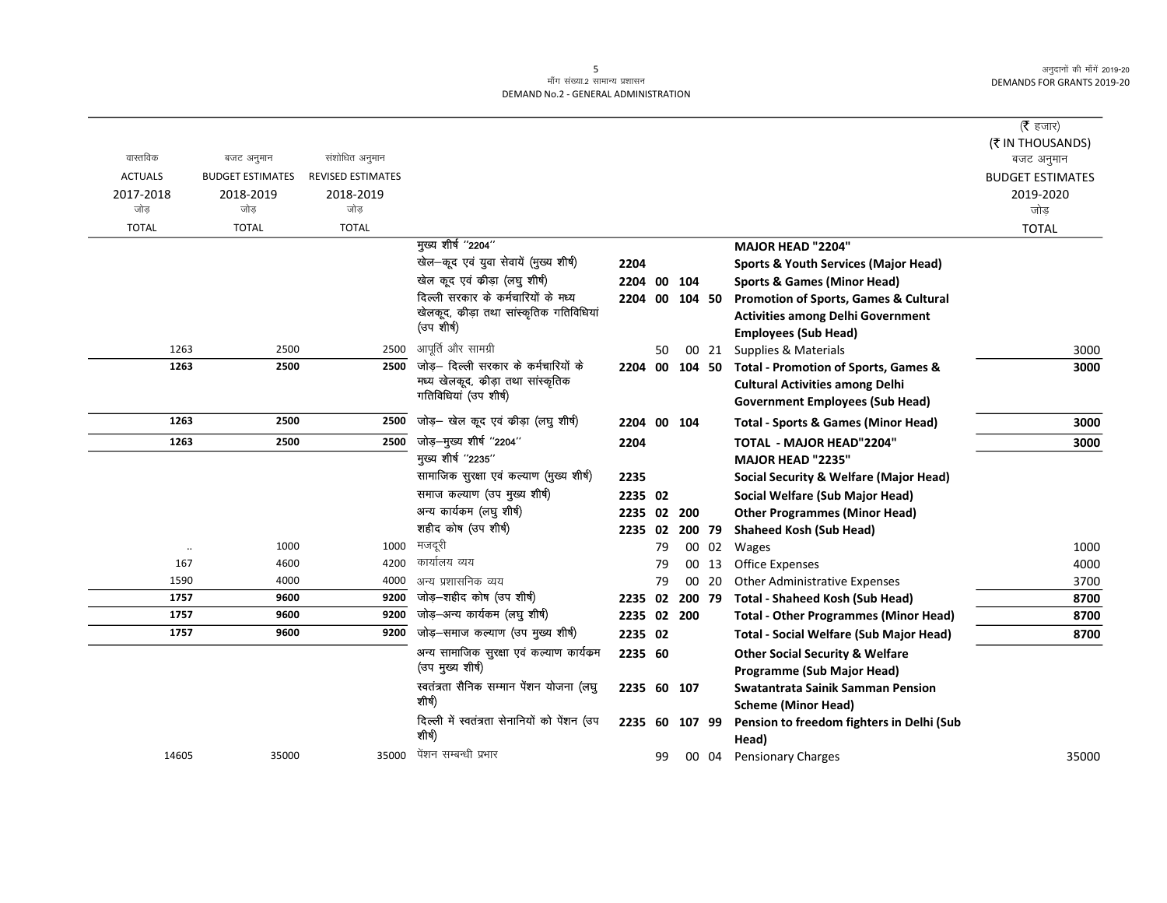## .<br>माँग संख्या.2 सामान्य प्रशासन DEMAND No.2 - GENERAL ADMINISTRATION

|                |                         |                          |                                                            |                |    |        |       |                                                   | ( $\bar{\tau}$ हजार)           |
|----------------|-------------------------|--------------------------|------------------------------------------------------------|----------------|----|--------|-------|---------------------------------------------------|--------------------------------|
| वास्तविक       | बजट अनुमान              | संशोधित अनुमान           |                                                            |                |    |        |       |                                                   | (₹ IN THOUSANDS)<br>बजट अनुमान |
| <b>ACTUALS</b> | <b>BUDGET ESTIMATES</b> | <b>REVISED ESTIMATES</b> |                                                            |                |    |        |       |                                                   | <b>BUDGET ESTIMATES</b>        |
| 2017-2018      | 2018-2019               | 2018-2019                |                                                            |                |    |        |       |                                                   | 2019-2020                      |
| जोड            | जोड                     | जोड                      |                                                            |                |    |        |       |                                                   | जोड़                           |
| <b>TOTAL</b>   | <b>TOTAL</b>            | <b>TOTAL</b>             |                                                            |                |    |        |       |                                                   | <b>TOTAL</b>                   |
|                |                         |                          | मुख्य शीर्ष "2204"                                         |                |    |        |       | MAJOR HEAD "2204"                                 |                                |
|                |                         |                          | खेल-कूद एवं युवा सेवायें (मुख्य शीर्ष)                     | 2204           |    |        |       | <b>Sports &amp; Youth Services (Major Head)</b>   |                                |
|                |                         |                          | खेल कूद एवं कीड़ा (लघु शीर्ष)                              | 2204 00        |    | 104    |       | <b>Sports &amp; Games (Minor Head)</b>            |                                |
|                |                         |                          | दिल्ली सरकार के कर्मचारियों के मध्य                        | 2204 00 104 50 |    |        |       | Promotion of Sports, Games & Cultural             |                                |
|                |                         |                          | खेलकूद, कीड़ा तथा सांस्कृतिक गतिविधियां                    |                |    |        |       | <b>Activities among Delhi Government</b>          |                                |
|                |                         |                          | (उपशीर्ष)                                                  |                |    |        |       | <b>Employees (Sub Head)</b>                       |                                |
| 1263           | 2500                    | 2500                     | आपूर्ति और सामग्री                                         |                | 50 |        | 00 21 | Supplies & Materials                              | 3000                           |
| 1263           | 2500                    | 2500                     | जोड़– दिल्ली सरकार के कर्मचारियों के                       | 2204 00 104 50 |    |        |       | Total - Promotion of Sports, Games &              | 3000                           |
|                |                         |                          | मध्य खेलकूद, कीड़ा तथा सांस्कृतिक<br>गतिविधियां (उप शीर्ष) |                |    |        |       | <b>Cultural Activities among Delhi</b>            |                                |
|                |                         |                          |                                                            |                |    |        |       | <b>Government Employees (Sub Head)</b>            |                                |
| 1263           | 2500                    | 2500                     | जोड़— खेल कूद एवं कीड़ा (लघु शीर्ष)                        | 2204 00 104    |    |        |       | <b>Total - Sports &amp; Games (Minor Head)</b>    | 3000                           |
| 1263           | 2500                    | 2500                     | जोड़-मुख्य शीर्ष "2204"                                    | 2204           |    |        |       | <b>TOTAL - MAJOR HEAD"2204"</b>                   | 3000                           |
|                |                         |                          | मुख्य शीर्ष "2235"                                         |                |    |        |       | <b>MAJOR HEAD "2235"</b>                          |                                |
|                |                         |                          | सामाजिक सुरक्षा एवं कल्याण (मुख्य शीर्ष)                   | 2235           |    |        |       | <b>Social Security &amp; Welfare (Major Head)</b> |                                |
|                |                         |                          | समाज कल्याण (उप मुख्य शीर्ष)                               | 2235 02        |    |        |       | Social Welfare (Sub Major Head)                   |                                |
|                |                         |                          | अन्य कार्यकम (लघु शीर्ष)                                   | 2235 02        |    | 200    |       | <b>Other Programmes (Minor Head)</b>              |                                |
|                |                         |                          | शहीद कोष (उप शीर्ष)                                        | 2235 02        |    | 200 79 |       | <b>Shaheed Kosh (Sub Head)</b>                    |                                |
| $\ddotsc$      | 1000                    | 1000                     | मजदूरी                                                     |                | 79 |        | 00 02 | Wages                                             | 1000                           |
| 167            | 4600                    | 4200                     | कार्यालय व्यय                                              |                | 79 |        | 00 13 | <b>Office Expenses</b>                            | 4000                           |
| 1590           | 4000                    | 4000                     | अन्य प्रशासनिक व्यय                                        |                | 79 |        | 00 20 | <b>Other Administrative Expenses</b>              | 3700                           |
| 1757           | 9600                    | 9200                     | जोड़-शहीद कोष (उप शीर्ष)                                   | 2235 02        |    | 200 79 |       | <b>Total - Shaheed Kosh (Sub Head)</b>            | 8700                           |
| 1757           | 9600                    | 9200                     | जोड़-अन्य कार्यकम (लघु शीर्ष)                              | 2235 02        |    | 200    |       | <b>Total - Other Programmes (Minor Head)</b>      | 8700                           |
| 1757           | 9600                    | 9200                     | जोड़-समाज कल्याण (उप मुख्य शीर्ष)                          | 2235 02        |    |        |       | <b>Total - Social Welfare (Sub Major Head)</b>    | 8700                           |
|                |                         |                          | अन्य सामाजिक सुरक्षा एवं कल्याण कार्यक्रम                  | 2235 60        |    |        |       | <b>Other Social Security &amp; Welfare</b>        |                                |
|                |                         |                          | (उप मुख्य शीर्ष)                                           |                |    |        |       | Programme (Sub Major Head)                        |                                |
|                |                         |                          | स्वतंत्रता सैनिक सम्मान पेंशन योजना (लघु<br>शीर्ष)         | 2235 60 107    |    |        |       | Swatantrata Sainik Samman Pension                 |                                |
|                |                         |                          |                                                            |                |    |        |       | <b>Scheme (Minor Head)</b>                        |                                |
|                |                         |                          | दिल्ली में स्वतंत्रता सेनानियों को पेंशन (उप<br>शीर्ष)     | 2235 60        |    | 107 99 |       | Pension to freedom fighters in Delhi (Sub         |                                |
|                |                         |                          | पेंशन सम्बन्धी प्रभार                                      |                |    |        |       | Head)                                             |                                |
| 14605          | 35000                   | 35000                    |                                                            |                | 99 |        | 00 04 | <b>Pensionary Charges</b>                         | 35000                          |

 $5\overline{)}$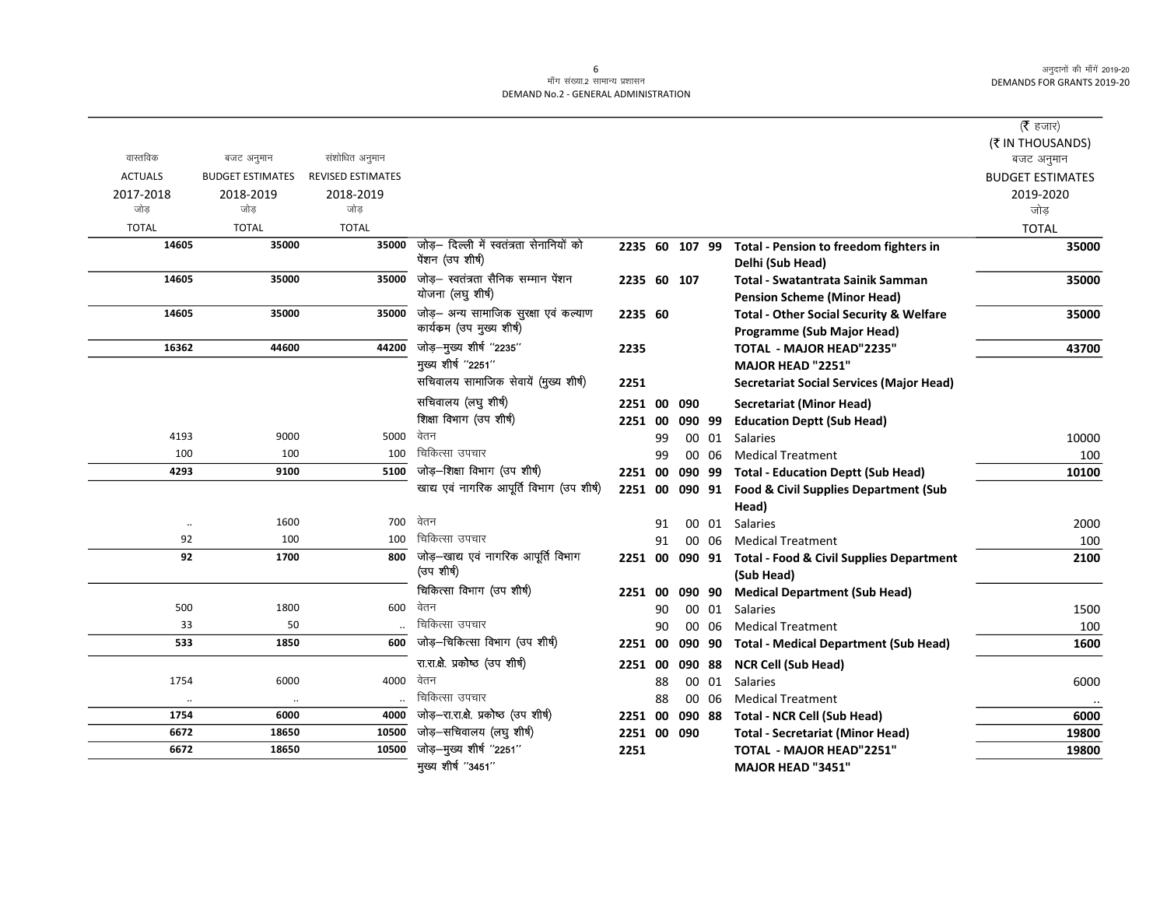$\overline{\phantom{0}}$ 

## ्<br>माँग संख्या.2 सामान्य प्रशासन DEMAND No.2 - GENERAL ADMINISTRATION

|                |                         |                          |                                           |                |    |        |       |                                                         | ( $\bar{\tau}$ हजार)    |
|----------------|-------------------------|--------------------------|-------------------------------------------|----------------|----|--------|-------|---------------------------------------------------------|-------------------------|
|                |                         |                          |                                           |                |    |        |       |                                                         | (₹ IN THOUSANDS)        |
| वास्तविक       | बजट अनुमान              | संशोधित अनुमान           |                                           |                |    |        |       |                                                         | बजट अनुमान              |
| <b>ACTUALS</b> | <b>BUDGET ESTIMATES</b> | <b>REVISED ESTIMATES</b> |                                           |                |    |        |       |                                                         | <b>BUDGET ESTIMATES</b> |
| 2017-2018      | 2018-2019               | 2018-2019                |                                           |                |    |        |       |                                                         | 2019-2020               |
| जोड            | जोड                     | जोड                      |                                           |                |    |        |       |                                                         | जोड़                    |
| <b>TOTAL</b>   | <b>TOTAL</b>            | <b>TOTAL</b>             |                                           |                |    |        |       |                                                         | <b>TOTAL</b>            |
| 14605          | 35000                   | 35000                    | जोड़— दिल्ली में स्वतंत्रता सेनानियों को  | 2235 60 107 99 |    |        |       | Total - Pension to freedom fighters in                  | 35000                   |
|                |                         |                          | पेंशन (उप शीर्ष)                          |                |    |        |       | Delhi (Sub Head)                                        |                         |
| 14605          | 35000                   | 35000                    | जोड– स्वतंत्रता सैनिक सम्मान पेंशन        | 2235 60 107    |    |        |       | Total - Swatantrata Sainik Samman                       | 35000                   |
|                |                         |                          | योजना (लघु शीर्ष)                         |                |    |        |       | <b>Pension Scheme (Minor Head)</b>                      |                         |
| 14605          | 35000                   | 35000                    | जोड़- अन्य सामाजिक सुरक्षा एवं कल्याण     | 2235 60        |    |        |       | <b>Total - Other Social Security &amp; Welfare</b>      | 35000                   |
|                |                         |                          | कार्यकम (उप मुख्य शीर्ष)                  |                |    |        |       | <b>Programme (Sub Major Head)</b>                       |                         |
| 16362          | 44600                   | 44200                    | जोड़-मुख्य शीर्ष "2235"                   | 2235           |    |        |       | <b>TOTAL - MAJOR HEAD"2235"</b>                         | 43700                   |
|                |                         |                          | मुख्य शीर्ष "2251"                        |                |    |        |       | MAJOR HEAD "2251"                                       |                         |
|                |                         |                          | सचिवालय सामाजिक सेवायें (मुख्य शीर्ष)     | 2251           |    |        |       | <b>Secretariat Social Services (Major Head)</b>         |                         |
|                |                         |                          | सचिवालय (लघु शीर्ष)                       | 2251 00        |    | 090    |       | Secretariat (Minor Head)                                |                         |
|                |                         |                          | शिक्षा विभाग (उप शीर्ष)                   | 2251 00        |    | 090 99 |       | <b>Education Deptt (Sub Head)</b>                       |                         |
| 4193           | 9000                    | 5000                     | वेतन                                      |                | 99 |        | 00 01 | <b>Salaries</b>                                         | 10000                   |
| 100            | 100                     | 100                      | चिकित्सा उपचार                            |                | 99 |        | 00 06 | <b>Medical Treatment</b>                                | 100                     |
| 4293           | 9100                    | 5100                     | जोड़-शिक्षा विभाग (उप शीर्ष)              | 2251 00        |    |        |       | 090 99 Total - Education Deptt (Sub Head)               | 10100                   |
|                |                         |                          | खाद्य एवं नागरिक आपूर्ति विभाग (उप शीर्ष) |                |    |        |       | 2251 00 090 91 Food & Civil Supplies Department (Sub    |                         |
|                |                         |                          |                                           |                |    |        |       | Head)                                                   |                         |
| $\cdots$       | 1600                    | 700                      | वेतन                                      |                | 91 |        |       | 00 01 Salaries                                          | 2000                    |
| 92             | 100                     | 100                      | चिकित्सा उपचार                            |                | 91 |        | 00 06 | <b>Medical Treatment</b>                                | 100                     |
| 92             | 1700                    | 800                      | जोड़—खाद्य एवं नागरिक आपूर्ति विभाग       |                |    |        |       | 2251 00 090 91 Total - Food & Civil Supplies Department | 2100                    |
|                |                         |                          | (उप शीर्ष)                                |                |    |        |       | (Sub Head)                                              |                         |
|                |                         |                          | चिकित्सा विभाग (उप शीर्ष)                 | 2251 00        |    | 090 90 |       | <b>Medical Department (Sub Head)</b>                    |                         |
| 500            | 1800                    | 600                      | वेतन                                      |                | 90 |        | 00 01 | <b>Salaries</b>                                         | 1500                    |
| 33             | 50                      |                          | चिकित्सा उपचार                            |                | 90 |        | 00 06 | <b>Medical Treatment</b>                                | 100                     |
| 533            | 1850                    | 600                      | जोड़-चिकित्सा विभाग (उप शीर्ष)            | 2251 00        |    |        |       | 090 90 Total - Medical Department (Sub Head)            | 1600                    |
|                |                         |                          | रा.रा.क्षे. प्रकोष्ठ (उप शीर्ष)           | 2251 00        |    |        |       | 090 88 NCR Cell (Sub Head)                              |                         |
| 1754           | 6000                    | 4000                     | वेतन                                      |                | 88 |        |       | 00 01 Salaries                                          | 6000                    |
| $\cdot\cdot$   | $\ldots$                |                          | चिकित्सा उपचार                            |                | 88 |        | 00 06 | <b>Medical Treatment</b>                                |                         |
| 1754           | 6000                    | 4000                     | जोड़-रा.रा.क्षे. प्रकोष्ठ (उप शीर्ष)      | 2251 00        |    |        |       | 090 88 Total - NCR Cell (Sub Head)                      | 6000                    |
| 6672           | 18650                   | 10500                    | जोड़-सचिवालय (लघु शीर्ष)                  | 2251 00 090    |    |        |       | <b>Total - Secretariat (Minor Head)</b>                 | 19800                   |
| 6672           | 18650                   | 10500                    | जोड़-मुख्य शीर्ष "2251"                   | 2251           |    |        |       | TOTAL - MAJOR HEAD"2251"                                | 19800                   |
|                |                         |                          | मुख्य शीर्ष "3451"                        |                |    |        |       | MAJOR HEAD "3451"                                       |                         |
|                |                         |                          |                                           |                |    |        |       |                                                         |                         |

6